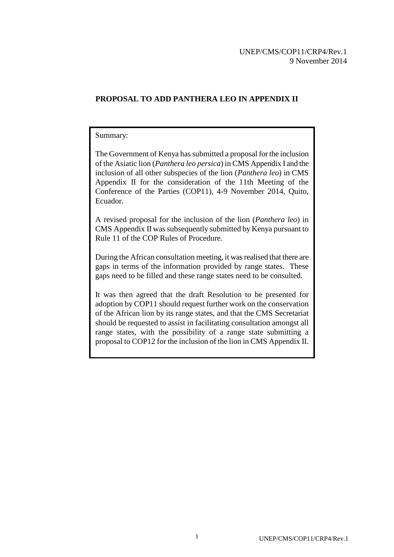# **PROPOSAL TO ADD PANTHERA LEO IN APPENDIX II**

### Summary:

The Government of Kenya has submitted a proposal for the inclusion of the Asiatic lion (*Panthera leo persica*) in CMS Appendix I and the inclusion of all other subspecies of the lion (*Panthera leo*) in CMS Appendix II for the consideration of the 11th Meeting of the Conference of the Parties (COP11), 4-9 November 2014, Quito, Ecuador.

A revised proposal for the inclusion of the lion (*Panthera leo*) in CMS Appendix II was subsequently submitted by Kenya pursuant to Rule 11 of the COP Rules of Procedure.

During the African consultation meeting, it was realised that there are gaps in terms of the information provided by range states. These gaps need to be filled and these range states need to be consulted.

It was then agreed that the draft Resolution to be presented for adoption by COP11 should request further work on the conservation of the African lion by its range states, and that the CMS Secretariat should be requested to assist in facilitating consultation amongst all range states, with the possibility of a range state submitting a proposal to COP12 for the inclusion of the lion in CMS Appendix II.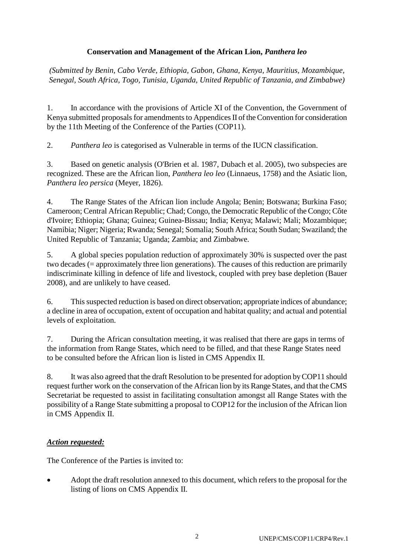## **Conservation and Management of the African Lion,** *Panthera leo*

*(Submitted by Benin, Cabo Verde, Ethiopia, Gabon, Ghana, Kenya, Mauritius, Mozambique, Senegal, South Africa, Togo, Tunisia, Uganda, United Republic of Tanzania, and Zimbabwe)*

1. In accordance with the provisions of Article XI of the Convention, the Government of Kenya submitted proposals for amendments to Appendices II of the Convention for consideration by the 11th Meeting of the Conference of the Parties (COP11).

2. *Panthera leo* is categorised as Vulnerable in terms of the IUCN classification.

3. Based on genetic analysis (O'Brien et al. 1987, Dubach et al. 2005), two subspecies are recognized. These are the African lion, *Panthera leo leo* (Linnaeus, 1758) and the Asiatic lion, *Panthera leo persica* (Meyer, 1826).

4. The Range States of the African lion include Angola; Benin; Botswana; Burkina Faso; Cameroon; Central African Republic; Chad; Congo, the Democratic Republic of the Congo; Côte d'Ivoire; Ethiopia; Ghana; Guinea; Guinea-Bissau; India; Kenya; Malawi; Mali; Mozambique; Namibia; Niger; Nigeria; Rwanda; Senegal; Somalia; South Africa; South Sudan; Swaziland; the United Republic of Tanzania; Uganda; Zambia; and Zimbabwe.

5. A global species population reduction of approximately 30% is suspected over the past two decades (= approximately three lion generations). The causes of this reduction are primarily indiscriminate killing in defence of life and livestock, coupled with prey base depletion (Bauer 2008), and are unlikely to have ceased.

6. This suspected reduction is based on direct observation; appropriate indices of abundance; a decline in area of occupation, extent of occupation and habitat quality; and actual and potential levels of exploitation.

7. During the African consultation meeting, it was realised that there are gaps in terms of the information from Range States, which need to be filled, and that these Range States need to be consulted before the African lion is listed in CMS Appendix II.

8. It was also agreed that the draft Resolution to be presented for adoption by COP11 should request further work on the conservation of the African lion by its Range States, and that the CMS Secretariat be requested to assist in facilitating consultation amongst all Range States with the possibility of a Range State submitting a proposal to COP12 for the inclusion of the African lion in CMS Appendix II.

### *Action requested:*

The Conference of the Parties is invited to:

 Adopt the draft resolution annexed to this document, which refers to the proposal for the listing of lions on CMS Appendix II.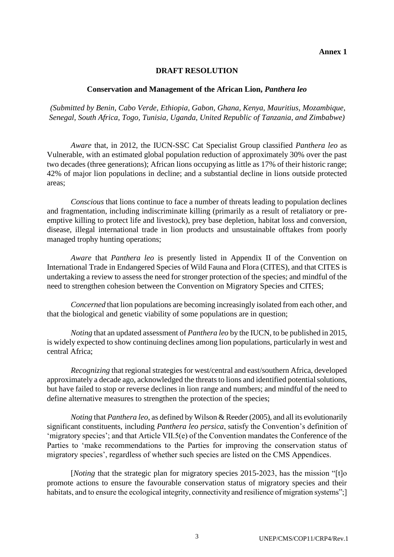#### **Annex 1**

#### **DRAFT RESOLUTION**

#### **Conservation and Management of the African Lion,** *Panthera leo*

*(Submitted by Benin, Cabo Verde, Ethiopia, Gabon, Ghana, Kenya, Mauritius, Mozambique, Senegal, South Africa, Togo, Tunisia, Uganda, United Republic of Tanzania, and Zimbabwe)*

*Aware* that, in 2012, the IUCN-SSC Cat Specialist Group classified *Panthera leo* as Vulnerable, with an estimated global population reduction of approximately 30% over the past two decades (three generations); African lions occupying as little as 17% of their historic range; 42% of major lion populations in decline; and a substantial decline in lions outside protected areas;

*Conscious* that lions continue to face a number of threats leading to population declines and fragmentation, including indiscriminate killing (primarily as a result of retaliatory or preemptive killing to protect life and livestock), prey base depletion, habitat loss and conversion, disease, illegal international trade in lion products and unsustainable offtakes from poorly managed trophy hunting operations;

*Aware* that *Panthera leo* is presently listed in Appendix II of the Convention on International Trade in Endangered Species of Wild Fauna and Flora (CITES), and that CITES is undertaking a review to assess the need for stronger protection of the species; and mindful of the need to strengthen cohesion between the Convention on Migratory Species and CITES;

*Concerned* that lion populations are becoming increasingly isolated from each other, and that the biological and genetic viability of some populations are in question;

*Noting* that an updated assessment of *Panthera leo* by the IUCN, to be published in 2015, is widely expected to show continuing declines among lion populations, particularly in west and central Africa;

*Recognizing* that regional strategies for west/central and east/southern Africa, developed approximately a decade ago, acknowledged the threats to lions and identified potential solutions, but have failed to stop or reverse declines in lion range and numbers; and mindful of the need to define alternative measures to strengthen the protection of the species;

*Noting* that *Panthera leo*, as defined by Wilson & Reeder (2005), and all its evolutionarily significant constituents, including *Panthera leo persica*, satisfy the Convention's definition of 'migratory species'; and that Article VII.5(e) of the Convention mandates the Conference of the Parties to 'make recommendations to the Parties for improving the conservation status of migratory species', regardless of whether such species are listed on the CMS Appendices.

[*Noting* that the strategic plan for migratory species 2015-2023, has the mission "[t]o promote actions to ensure the favourable conservation status of migratory species and their habitats, and to ensure the ecological integrity, connectivity and resilience of migration systems";